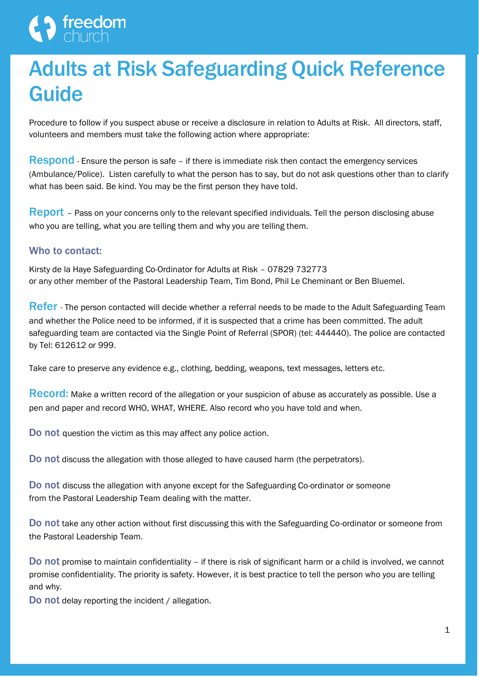# $\bigwedge_{\text{chuch}}$  freedom

# Adults at Risk Safeguarding Quick Reference Guide

Procedure to follow if you suspect abuse or receive a disclosure in relation to Adults at Risk. All directors, staff, volunteers and members must take the following action where appropriate:

Respond - Ensure the person is safe - if there is immediate risk then contact the emergency services (Ambulance/Police). Listen carefully to what the person has to say, but do not ask questions other than to clarify what has been said. Be kind. You may be the first person they have told.

**Report** – Pass on your concerns only to the relevant specified individuals. Tell the person disclosing abuse who you are telling, what you are telling them and why you are telling them.

### Who to contact:

Kirsty de la Haye Safeguarding Co-Ordinator for Adults at Risk – 07829 732773 or any other member of the Pastoral Leadership Team, Tim Bond, Phil Le Cheminant or Ben Bluemel.

**Refer** - The person contacted will decide whether a referral needs to be made to the Adult Safeguarding Team and whether the Police need to be informed, if it is suspected that a crime has been committed. The adult safeguarding team are contacted via the Single Point of Referral (SPOR) (tel: 444440). The police are contacted by Tel: 612612 or 999.

Take care to preserve any evidence e.g., clothing, bedding, weapons, text messages, letters etc.

Record: Make a written record of the allegation or your suspicion of abuse as accurately as possible. Use a pen and paper and record WHO, WHAT, WHERE. Also record who you have told and when.

Do not question the victim as this may affect any police action.

Do not discuss the allegation with those alleged to have caused harm (the perpetrators).

Do not discuss the allegation with anyone except for the Safeguarding Co-ordinator or someone from the Pastoral Leadership Team dealing with the matter.

Do not take any other action without first discussing this with the Safeguarding Co-ordinator or someone from the Pastoral Leadership Team.

Do not promise to maintain confidentiality – if there is risk of significant harm or a child is involved, we cannot promise confidentiality. The priority is safety. However, it is best practice to tell the person who you are telling and why.

Do not delay reporting the incident / allegation.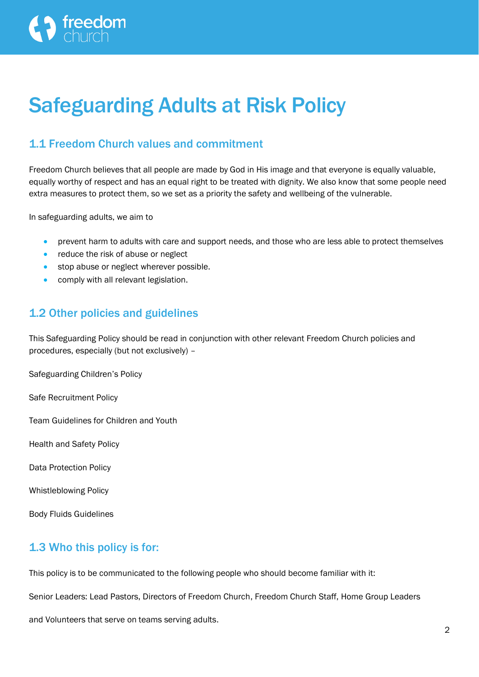# Safeguarding Adults at Risk Policy

# 1.1 Freedom Church values and commitment

Freedom Church believes that all people are made by God in His image and that everyone is equally valuable, equally worthy of respect and has an equal right to be treated with dignity. We also know that some people need extra measures to protect them, so we set as a priority the safety and wellbeing of the vulnerable.

In safeguarding adults, we aim to

- prevent harm to adults with care and support needs, and those who are less able to protect themselves
- reduce the risk of abuse or neglect
- stop abuse or neglect wherever possible.
- comply with all relevant legislation.

# 1.2 Other policies and guidelines

This Safeguarding Policy should be read in conjunction with other relevant Freedom Church policies and procedures, especially (but not exclusively) –

Safeguarding Children's Policy

Safe Recruitment Policy

Team Guidelines for Children and Youth

Health and Safety Policy

Data Protection Policy

Whistleblowing Policy

Body Fluids Guidelines

# 1.3 Who this policy is for:

This policy is to be communicated to the following people who should become familiar with it:

Senior Leaders: Lead Pastors, Directors of Freedom Church, Freedom Church Staff, Home Group Leaders

and Volunteers that serve on teams serving adults.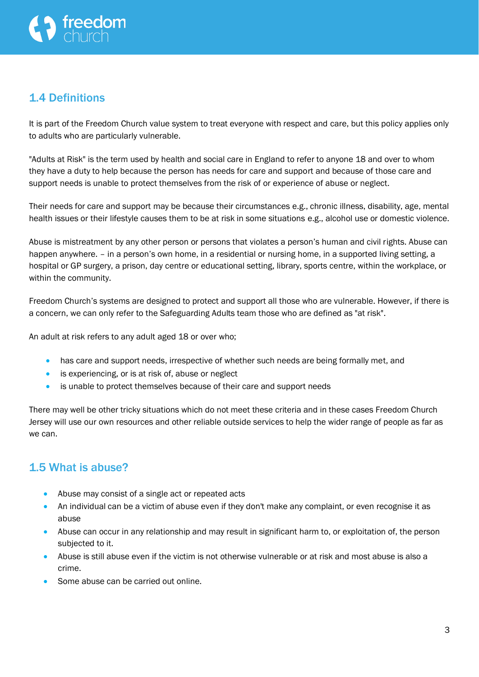# 1.4 Definitions

It is part of the Freedom Church value system to treat everyone with respect and care, but this policy applies only to adults who are particularly vulnerable.

"Adults at Risk" is the term used by health and social care in England to refer to anyone 18 and over to whom they have a duty to help because the person has needs for care and support and because of those care and support needs is unable to protect themselves from the risk of or experience of abuse or neglect.

Their needs for care and support may be because their circumstances e.g., chronic illness, disability, age, mental health issues or their lifestyle causes them to be at risk in some situations e.g., alcohol use or domestic violence.

Abuse is mistreatment by any other person or persons that violates a person's human and civil rights. Abuse can happen anywhere. – in a person's own home, in a residential or nursing home, in a supported living setting, a hospital or GP surgery, a prison, day centre or educational setting, library, sports centre, within the workplace, or within the community.

Freedom Church's systems are designed to protect and support all those who are vulnerable. However, if there is a concern, we can only refer to the Safeguarding Adults team those who are defined as "at risk".

An adult at risk refers to any adult aged 18 or over who;

- has care and support needs, irrespective of whether such needs are being formally met, and
- is experiencing, or is at risk of, abuse or neglect
- is unable to protect themselves because of their care and support needs

There may well be other tricky situations which do not meet these criteria and in these cases Freedom Church Jersey will use our own resources and other reliable outside services to help the wider range of people as far as we can.

# 1.5 What is abuse?

- Abuse may consist of a single act or repeated acts
- An individual can be a victim of abuse even if they don't make any complaint, or even recognise it as abuse
- Abuse can occur in any relationship and may result in significant harm to, or exploitation of, the person subjected to it.
- Abuse is still abuse even if the victim is not otherwise vulnerable or at risk and most abuse is also a crime.
- Some abuse can be carried out online.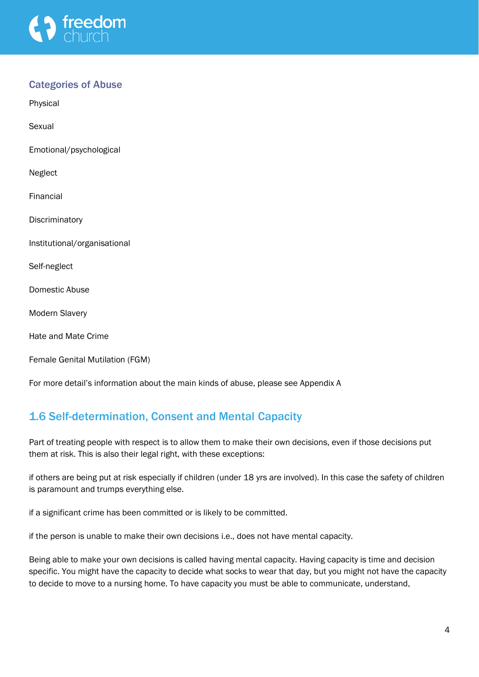

### Categories of Abuse

Physical

Sexual

Emotional/psychological

Neglect

Financial

**Discriminatory** 

Institutional/organisational

Self-neglect

Domestic Abuse

Modern Slavery

Hate and Mate Crime

Female Genital Mutilation (FGM)

For more detail's information about the main kinds of abuse, please see Appendix A

# 1.6 Self-determination, Consent and Mental Capacity

Part of treating people with respect is to allow them to make their own decisions, even if those decisions put them at risk. This is also their legal right, with these exceptions:

if others are being put at risk especially if children (under 18 yrs are involved). In this case the safety of children is paramount and trumps everything else.

if a significant crime has been committed or is likely to be committed.

if the person is unable to make their own decisions i.e., does not have mental capacity.

Being able to make your own decisions is called having mental capacity. Having capacity is time and decision specific. You might have the capacity to decide what socks to wear that day, but you might not have the capacity to decide to move to a nursing home. To have capacity you must be able to communicate, understand,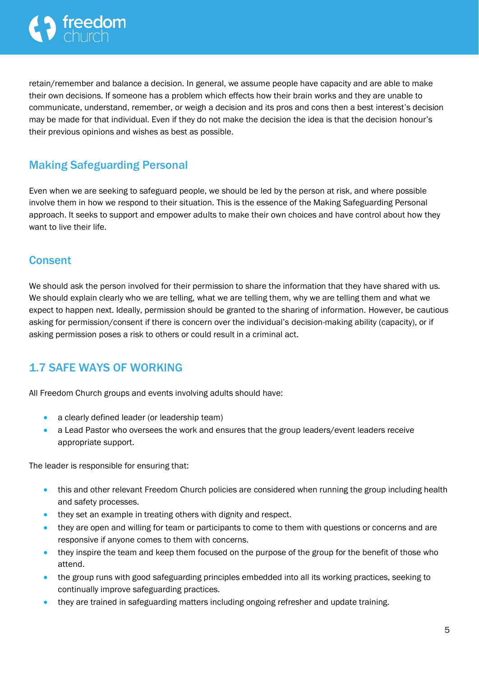retain/remember and balance a decision. In general, we assume people have capacity and are able to make their own decisions. If someone has a problem which effects how their brain works and they are unable to communicate, understand, remember, or weigh a decision and its pros and cons then a best interest's decision may be made for that individual. Even if they do not make the decision the idea is that the decision honour's their previous opinions and wishes as best as possible.

# Making Safeguarding Personal

Even when we are seeking to safeguard people, we should be led by the person at risk, and where possible involve them in how we respond to their situation. This is the essence of the Making Safeguarding Personal approach. It seeks to support and empower adults to make their own choices and have control about how they want to live their life.

# **Consent**

We should ask the person involved for their permission to share the information that they have shared with us. We should explain clearly who we are telling, what we are telling them, why we are telling them and what we expect to happen next. Ideally, permission should be granted to the sharing of information. However, be cautious asking for permission/consent if there is concern over the individual's decision-making ability (capacity), or if asking permission poses a risk to others or could result in a criminal act.

# 1.7 SAFE WAYS OF WORKING

All Freedom Church groups and events involving adults should have:

- a clearly defined leader (or leadership team)
- a Lead Pastor who oversees the work and ensures that the group leaders/event leaders receive appropriate support.

The leader is responsible for ensuring that:

- this and other relevant Freedom Church policies are considered when running the group including health and safety processes.
- they set an example in treating others with dignity and respect.
- they are open and willing for team or participants to come to them with questions or concerns and are responsive if anyone comes to them with concerns.
- they inspire the team and keep them focused on the purpose of the group for the benefit of those who attend.
- the group runs with good safeguarding principles embedded into all its working practices, seeking to continually improve safeguarding practices.
- they are trained in safeguarding matters including ongoing refresher and update training.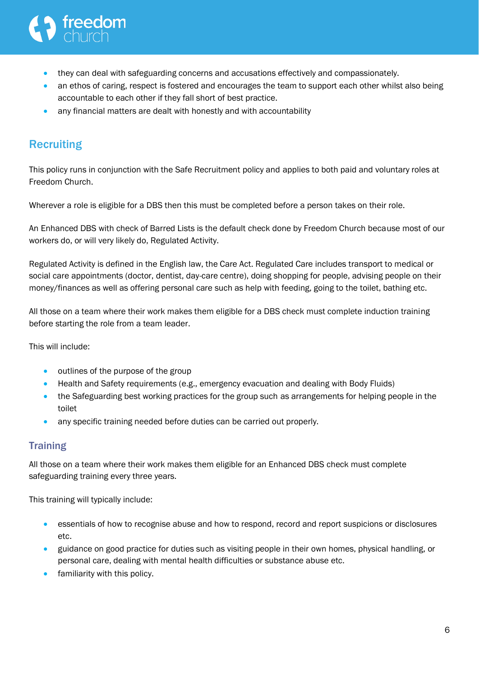- they can deal with safeguarding concerns and accusations effectively and compassionately.
- an ethos of caring, respect is fostered and encourages the team to support each other whilst also being accountable to each other if they fall short of best practice.
- any financial matters are dealt with honestly and with accountability

# **Recruiting**

This policy runs in conjunction with the Safe Recruitment policy and applies to both paid and voluntary roles at Freedom Church.

Wherever a role is eligible for a DBS then this must be completed before a person takes on their role.

An Enhanced DBS with check of Barred Lists is the default check done by Freedom Church because most of our workers do, or will very likely do, Regulated Activity.

Regulated Activity is defined in the English law, the Care Act. Regulated Care includes transport to medical or social care appointments (doctor, dentist, day-care centre), doing shopping for people, advising people on their money/finances as well as offering personal care such as help with feeding, going to the toilet, bathing etc.

All those on a team where their work makes them eligible for a DBS check must complete induction training before starting the role from a team leader.

This will include:

- outlines of the purpose of the group
- Health and Safety requirements (e.g., emergency evacuation and dealing with Body Fluids)
- the Safeguarding best working practices for the group such as arrangements for helping people in the toilet
- any specific training needed before duties can be carried out properly.

## **Training**

All those on a team where their work makes them eligible for an Enhanced DBS check must complete safeguarding training every three years.

This training will typically include:

- essentials of how to recognise abuse and how to respond, record and report suspicions or disclosures etc.
- guidance on good practice for duties such as visiting people in their own homes, physical handling, or personal care, dealing with mental health difficulties or substance abuse etc.
- familiarity with this policy.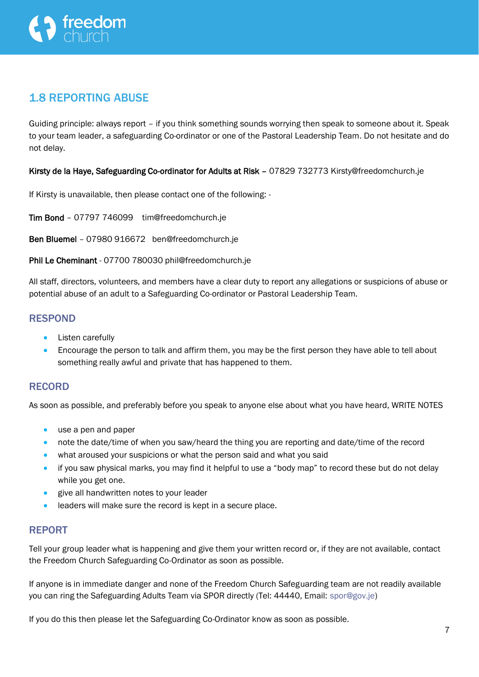

# 1.8 REPORTING ABUSE

Guiding principle: always report – if you think something sounds worrying then speak to someone about it. Speak to your team leader, a safeguarding Co-ordinator or one of the Pastoral Leadership Team. Do not hesitate and do not delay.

Kirsty de la Haye, Safeguarding Co-ordinator for Adults at Risk – 07829 732773 Kirsty@freedomchurch.je

If Kirsty is unavailable, then please contact one of the following: -

Tim Bond – 07797 746099 tim@freedomchurch.je

Ben Bluemel – 07980 916672 ben@freedomchurch.je

Phil Le Cheminant - 07700 780030 phil@freedomchurch.je

All staff, directors, volunteers, and members have a clear duty to report any allegations or suspicions of abuse or potential abuse of an adult to a Safeguarding Co-ordinator or Pastoral Leadership Team.

#### RESPOND

- Listen carefully
- Encourage the person to talk and affirm them, you may be the first person they have able to tell about something really awful and private that has happened to them.

#### RECORD

As soon as possible, and preferably before you speak to anyone else about what you have heard, WRITE NOTES

- use a pen and paper
- note the date/time of when you saw/heard the thing you are reporting and date/time of the record
- what aroused your suspicions or what the person said and what you said
- if you saw physical marks, you may find it helpful to use a "body map" to record these but do not delay while you get one.
- give all handwritten notes to your leader
- leaders will make sure the record is kept in a secure place.

#### REPORT

Tell your group leader what is happening and give them your written record or, if they are not available, contact the Freedom Church Safeguarding Co-Ordinator as soon as possible.

If anyone is in immediate danger and none of the Freedom Church Safeguarding team are not readily available you can ring the Safeguarding Adults Team via SPOR directly (Tel: 44440, Email: [spor@gov.je\)](mailto:spor@gov.je)

If you do this then please let the Safeguarding Co-Ordinator know as soon as possible.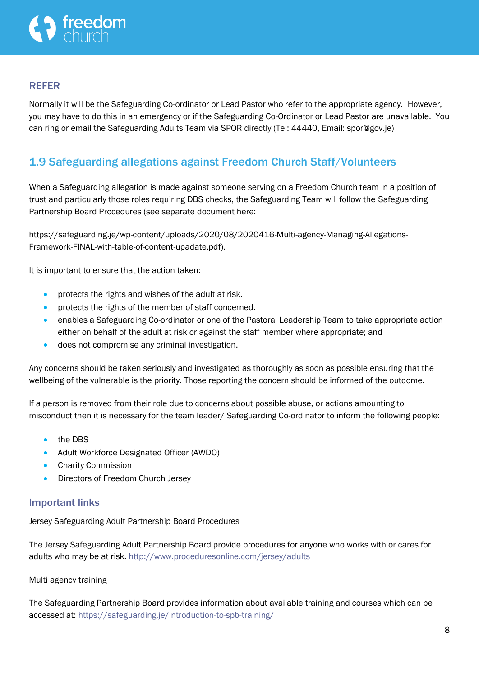#### REFER

Normally it will be the Safeguarding Co-ordinator or Lead Pastor who refer to the appropriate agency. However, you may have to do this in an emergency or if the Safeguarding Co-Ordinator or Lead Pastor are unavailable. You can ring or email the Safeguarding Adults Team via SPOR directly (Tel: 44440, Email: spor@gov.je)

# 1.9 Safeguarding allegations against Freedom Church Staff/Volunteers

When a Safeguarding allegation is made against someone serving on a Freedom Church team in a position of trust and particularly those roles requiring DBS checks, the Safeguarding Team will follow the Safeguarding Partnership Board Procedures (see separate document here:

https://safeguarding.je/wp-content/uploads/2020/08/2020416-Multi-agency-Managing-Allegations-Framework-FINAL-with-table-of-content-upadate.pdf).

It is important to ensure that the action taken:

- protects the rights and wishes of the adult at risk.
- protects the rights of the member of staff concerned.
- enables a Safeguarding Co-ordinator or one of the Pastoral Leadership Team to take appropriate action either on behalf of the adult at risk or against the staff member where appropriate; and
- does not compromise any criminal investigation.

Any concerns should be taken seriously and investigated as thoroughly as soon as possible ensuring that the wellbeing of the vulnerable is the priority. Those reporting the concern should be informed of the outcome.

If a person is removed from their role due to concerns about possible abuse, or actions amounting to misconduct then it is necessary for the team leader/ Safeguarding Co-ordinator to inform the following people:

- the DBS
- Adult Workforce Designated Officer (AWDO)
- Charity Commission
- Directors of Freedom Church Jersey

#### Important links

Jersey Safeguarding Adult Partnership Board Procedures

The Jersey Safeguarding Adult Partnership Board provide procedures for anyone who works with or cares for adults who may be at risk. <http://www.proceduresonline.com/jersey/adults>

Multi agency training

The Safeguarding Partnership Board provides information about available training and courses which can be accessed at: <https://safeguarding.je/introduction-to-spb-training/>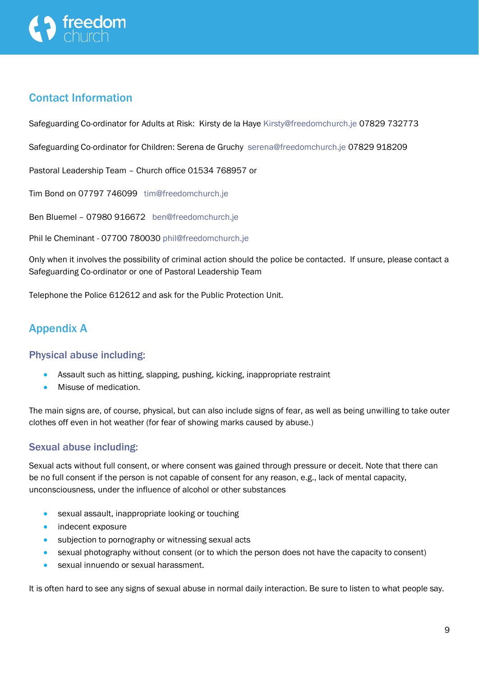

# Contact Information

Safeguarding Co-ordinator for Adults at Risk: Kirsty de la Haye [Kirsty@freedomchurch.je](mailto:Kirsty@freedomchurch.je) 07829 732773

Safeguarding Co-ordinator for Children: Serena de Gruchy [serena@freedomchurch.je](mailto:serena@freedomchurch.je) 07829 918209

Pastoral Leadership Team – Church office 01534 768957 or

Tim Bond on 07797 746099 [tim@freedomchurch.je](mailto:tim@freedomchurch.je)

Ben Bluemel – 07980 916672 [ben@freedomchurch.je](mailto:ben@freedomchurch.je)

Phil le Cheminant - 07700 780030 [phil@freedomchurch.je](mailto:phil@freedomchurch.je)

Only when it involves the possibility of criminal action should the police be contacted. If unsure, please contact a Safeguarding Co-ordinator or one of Pastoral Leadership Team

Telephone the Police 612612 and ask for the Public Protection Unit.

# Appendix A

#### Physical abuse including:

- Assault such as hitting, slapping, pushing, kicking, inappropriate restraint
- Misuse of medication.

The main signs are, of course, physical, but can also include signs of fear, as well as being unwilling to take outer clothes off even in hot weather (for fear of showing marks caused by abuse.)

### Sexual abuse including:

Sexual acts without full consent, or where consent was gained through pressure or deceit. Note that there can be no full consent if the person is not capable of consent for any reason, e.g., lack of mental capacity, unconsciousness, under the influence of alcohol or other substances

- sexual assault, inappropriate looking or touching
- indecent exposure
- subjection to pornography or witnessing sexual acts
- sexual photography without consent (or to which the person does not have the capacity to consent)
- sexual innuendo or sexual harassment.

It is often hard to see any signs of sexual abuse in normal daily interaction. Be sure to listen to what people say.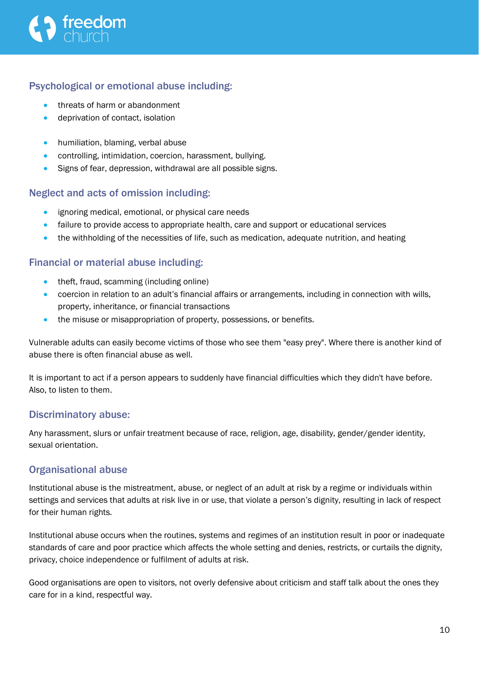### Psychological or emotional abuse including:

- threats of harm or abandonment
- deprivation of contact, isolation
- humiliation, blaming, verbal abuse
- controlling, intimidation, coercion, harassment, bullying.
- Signs of fear, depression, withdrawal are all possible signs.

### Neglect and acts of omission including:

- ignoring medical, emotional, or physical care needs
- failure to provide access to appropriate health, care and support or educational services
- the withholding of the necessities of life, such as medication, adequate nutrition, and heating

### Financial or material abuse including:

- theft, fraud, scamming (including online)
- coercion in relation to an adult's financial affairs or arrangements, including in connection with wills, property, inheritance, or financial transactions
- the misuse or misappropriation of property, possessions, or benefits.

Vulnerable adults can easily become victims of those who see them "easy prey". Where there is another kind of abuse there is often financial abuse as well.

It is important to act if a person appears to suddenly have financial difficulties which they didn't have before. Also, to listen to them.

### Discriminatory abuse:

Any harassment, slurs or unfair treatment because of race, religion, age, disability, gender/gender identity, sexual orientation.

### Organisational abuse

Institutional abuse is the mistreatment, abuse, or neglect of an adult at risk by a regime or individuals within settings and services that adults at risk live in or use, that violate a person's dignity, resulting in lack of respect for their human rights.

Institutional abuse occurs when the routines, systems and regimes of an institution result in poor or inadequate standards of care and poor practice which affects the whole setting and denies, restricts, or curtails the dignity, privacy, choice independence or fulfilment of adults at risk.

Good organisations are open to visitors, not overly defensive about criticism and staff talk about the ones they care for in a kind, respectful way.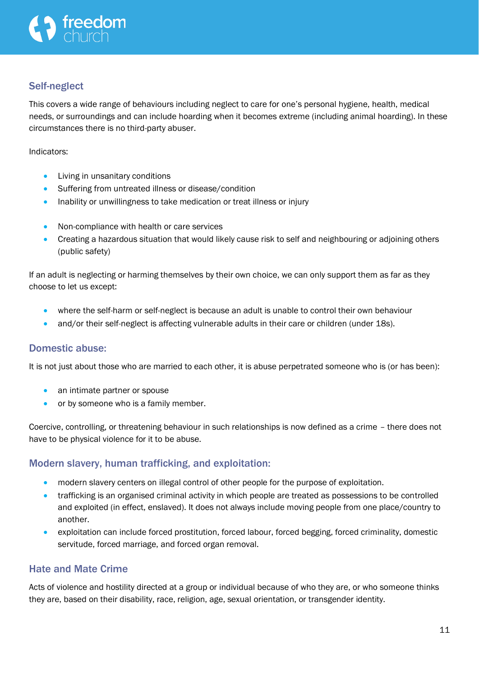## Self-neglect

This covers a wide range of behaviours including neglect to care for one's personal hygiene, health, medical needs, or surroundings and can include hoarding when it becomes extreme (including animal hoarding). In these circumstances there is no third-party abuser.

Indicators:

- Living in unsanitary conditions
- Suffering from untreated illness or disease/condition
- Inability or unwillingness to take medication or treat illness or injury
- Non-compliance with health or care services
- Creating a hazardous situation that would likely cause risk to self and neighbouring or adjoining others (public safety)

If an adult is neglecting or harming themselves by their own choice, we can only support them as far as they choose to let us except:

- where the self-harm or self-neglect is because an adult is unable to control their own behaviour
- and/or their self-neglect is affecting vulnerable adults in their care or children (under 18s).

#### Domestic abuse:

It is not just about those who are married to each other, it is abuse perpetrated someone who is (or has been):

- an intimate partner or spouse
- or by someone who is a family member.

Coercive, controlling, or threatening behaviour in such relationships is now defined as a crime – there does not have to be physical violence for it to be abuse.

### Modern slavery, human trafficking, and exploitation:

- modern slavery centers on illegal control of other people for the purpose of exploitation.
- trafficking is an organised criminal activity in which people are treated as possessions to be controlled and exploited (in effect, enslaved). It does not always include moving people from one place/country to another.
- exploitation can include forced prostitution, forced labour, forced begging, forced criminality, domestic servitude, forced marriage, and forced organ removal.

### Hate and Mate Crime

Acts of violence and hostility directed at a group or individual because of who they are, or who someone thinks they are, based on their disability, race, religion, age, sexual orientation, or transgender identity.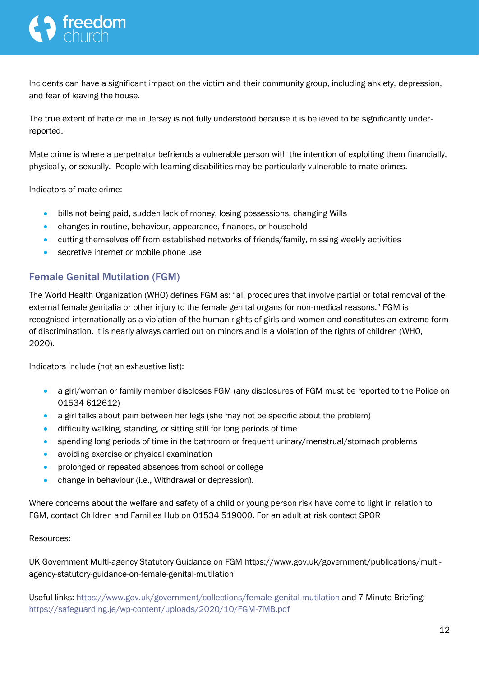Incidents can have a significant impact on the victim and their community group, including anxiety, depression, and fear of leaving the house.

The true extent of hate crime in Jersey is not fully understood because it is believed to be significantly underreported.

Mate crime is where a perpetrator befriends a vulnerable person with the intention of exploiting them financially, physically, or sexually. People with learning disabilities may be particularly vulnerable to mate crimes.

Indicators of mate crime:

- bills not being paid, sudden lack of money, losing possessions, changing Wills
- changes in routine, behaviour, appearance, finances, or household
- cutting themselves off from established networks of friends/family, missing weekly activities
- secretive internet or mobile phone use

### Female Genital Mutilation (FGM)

The World Health Organization (WHO) defines FGM as: "all procedures that involve partial or total removal of the external female genitalia or other injury to the female genital organs for non-medical reasons." FGM is recognised internationally as a violation of the human rights of girls and women and constitutes an extreme form of discrimination. It is nearly always carried out on minors and is a violation of the rights of children [\(WHO,](https://eur02.safelinks.protection.outlook.com/?url=https%3A%2F%2Fwww.who.int%2Fnews-room%2Ffact-sheets%2Fdetail%2Ffemale-genital-mutilation&data=04%7C01%7C%7Cc75d1af5243442204b1d08d8b17a4eb7%7C2b5615117ddf495c8164f56ae776c54a%7C0%7C0%7C637454486145903437%7CUnknown%7CTWFpbGZsb3d8eyJWIjoiMC4wLjAwMDAiLCJQIjoiV2luMzIiLCJBTiI6Ik1haWwiLCJXVCI6Mn0%3D%7C1000&sdata=8%2FXboq4wYBnHOF8mFWUXtAyHDqNjAjLrZgnj7bEBpuA%3D&reserved=0)  [2020\)](https://eur02.safelinks.protection.outlook.com/?url=https%3A%2F%2Fwww.who.int%2Fnews-room%2Ffact-sheets%2Fdetail%2Ffemale-genital-mutilation&data=04%7C01%7C%7Cc75d1af5243442204b1d08d8b17a4eb7%7C2b5615117ddf495c8164f56ae776c54a%7C0%7C0%7C637454486145903437%7CUnknown%7CTWFpbGZsb3d8eyJWIjoiMC4wLjAwMDAiLCJQIjoiV2luMzIiLCJBTiI6Ik1haWwiLCJXVCI6Mn0%3D%7C1000&sdata=8%2FXboq4wYBnHOF8mFWUXtAyHDqNjAjLrZgnj7bEBpuA%3D&reserved=0).

Indicators include (not an exhaustive list):

- a girl/woman or family member discloses FGM (any disclosures of FGM must be reported to the Police on 01534 612612)
- a girl talks about pain between her legs (she may not be specific about the problem)
- difficulty walking, standing, or sitting still for long periods of time
- spending long periods of time in the bathroom or frequent urinary/menstrual/stomach problems
- avoiding exercise or physical examination
- prolonged or repeated absences from school or college
- change in behaviour (i.e., Withdrawal or depression).

Where concerns about the welfare and safety of a child or young person risk have come to light in relation to FGM, contact [Children and Families Hub](https://eur02.safelinks.protection.outlook.com/?url=https%3A%2F%2Fwww.gov.je%2FCaring%2FChildrenAndFamiliesHub%2FPages%2FChildrenAndFamiliesHubHomepage.aspx&data=04%7C01%7C%7C29366135013b411ccb4208d8b17f2f98%7C2b5615117ddf495c8164f56ae776c54a%7C0%7C0%7C637454507238596408%7CUnknown%7CTWFpbGZsb3d8eyJWIjoiMC4wLjAwMDAiLCJQIjoiV2luMzIiLCJBTiI6Ik1haWwiLCJXVCI6Mn0%3D%7C1000&sdata=D5uAX9S7kIajPdoJy4Rla6aEBR0eN9nC7UOSHIjLq30%3D&reserved=0) on 01534 519000. For an adult at risk contact [SPOR](https://eur02.safelinks.protection.outlook.com/?url=https%3A%2F%2Fsafeguarding.je%2Freport-a-concern%2F&data=04%7C01%7C%7C29366135013b411ccb4208d8b17f2f98%7C2b5615117ddf495c8164f56ae776c54a%7C0%7C0%7C637454507238606363%7CUnknown%7CTWFpbGZsb3d8eyJWIjoiMC4wLjAwMDAiLCJQIjoiV2luMzIiLCJBTiI6Ik1haWwiLCJXVCI6Mn0%3D%7C1000&sdata=R2wSMEexKceM%2F9Hb1qwWDIiGbC8UnBb9h3bMAp5Pk2M%3D&reserved=0)

#### Resources:

UK Government Multi-agency Statutory Guidance on FGM [https://www.gov.uk/government/publications/multi](https://eur02.safelinks.protection.outlook.com/?url=https%3A%2F%2Fwww.gov.uk%2Fgovernment%2Fpublications%2Fmulti-agency-statutory-guidance-on-female-genital-mutilation&data=04%7C01%7C%7Cc75d1af5243442204b1d08d8b17a4eb7%7C2b5615117ddf495c8164f56ae776c54a%7C0%7C0%7C637454486145903437%7CUnknown%7CTWFpbGZsb3d8eyJWIjoiMC4wLjAwMDAiLCJQIjoiV2luMzIiLCJBTiI6Ik1haWwiLCJXVCI6Mn0%3D%7C1000&sdata=jr4ZGbm0EdPXRUw1on%2Fn7QCQoPFSXfvK8plpYDh4EyQ%3D&reserved=0)[agency-statutory-guidance-on-female-genital-mutilation](https://eur02.safelinks.protection.outlook.com/?url=https%3A%2F%2Fwww.gov.uk%2Fgovernment%2Fpublications%2Fmulti-agency-statutory-guidance-on-female-genital-mutilation&data=04%7C01%7C%7Cc75d1af5243442204b1d08d8b17a4eb7%7C2b5615117ddf495c8164f56ae776c54a%7C0%7C0%7C637454486145903437%7CUnknown%7CTWFpbGZsb3d8eyJWIjoiMC4wLjAwMDAiLCJQIjoiV2luMzIiLCJBTiI6Ik1haWwiLCJXVCI6Mn0%3D%7C1000&sdata=jr4ZGbm0EdPXRUw1on%2Fn7QCQoPFSXfvK8plpYDh4EyQ%3D&reserved=0)

Useful links:<https://www.gov.uk/government/collections/female-genital-mutilation> and 7 Minute Briefing: <https://safeguarding.je/wp-content/uploads/2020/10/FGM-7MB.pdf>